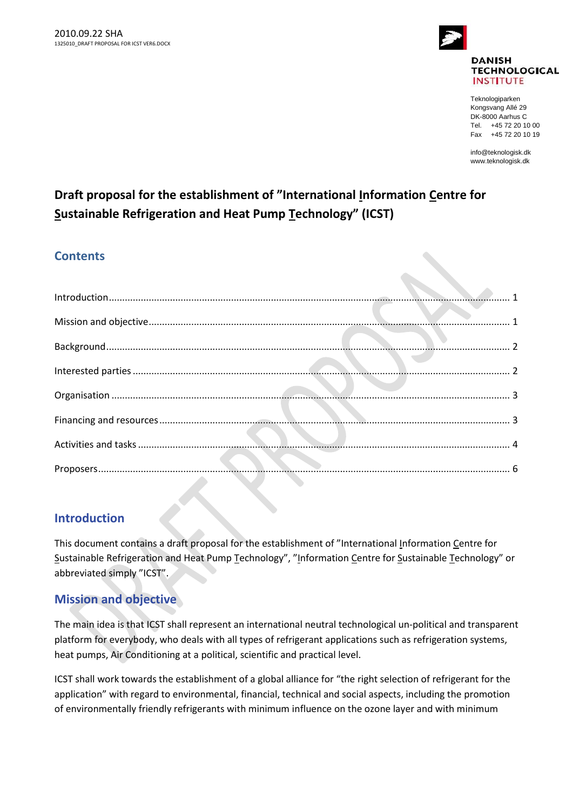

Teknologiparken Kongsvang Allé 29 DK-8000 Aarhus C Tel. +45 72 20 10 00 Fax +45 72 20 10 19

info@teknologisk.dk www.teknologisk.dk

# **Draft proposal for the establishment of "International Information Centre for Sustainable Refrigeration and Heat Pump Technology" (ICST)**

# **Contents**

| the contract of the contract of the contract of |  |
|-------------------------------------------------|--|

# <span id="page-0-0"></span>**Introduction**

This document contains a draft proposal for the establishment of "International Information Centre for Sustainable Refrigeration and Heat Pump Technology", "Information Centre for Sustainable Technology" or abbreviated simply "ICST".

# <span id="page-0-1"></span>**Mission and objective**

The main idea is that ICST shall represent an international neutral technological un-political and transparent platform for everybody, who deals with all types of refrigerant applications such as refrigeration systems, heat pumps, Air Conditioning at a political, scientific and practical level.

ICST shall work towards the establishment of a global alliance for "the right selection of refrigerant for the application" with regard to environmental, financial, technical and social aspects, including the promotion of environmentally friendly refrigerants with minimum influence on the ozone layer and with minimum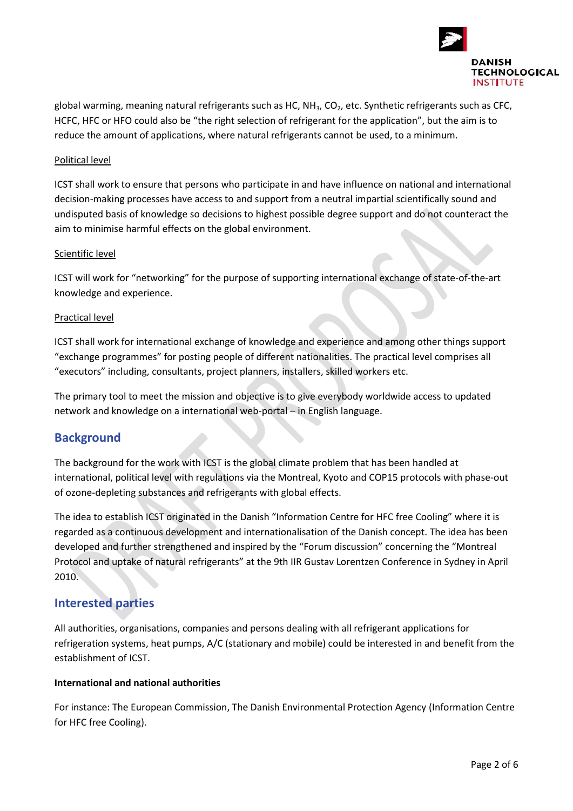

global warming, meaning natural refrigerants such as HC,  $NH<sub>3</sub>$ , CO<sub>2</sub>, etc. Synthetic refrigerants such as CFC, HCFC, HFC or HFO could also be "the right selection of refrigerant for the application", but the aim is to reduce the amount of applications, where natural refrigerants cannot be used, to a minimum.

#### Political level

ICST shall work to ensure that persons who participate in and have influence on national and international decision-making processes have access to and support from a neutral impartial scientifically sound and undisputed basis of knowledge so decisions to highest possible degree support and do not counteract the aim to minimise harmful effects on the global environment.

#### Scientific level

ICST will work for "networking" for the purpose of supporting international exchange of state-of-the-art knowledge and experience.

#### Practical level

ICST shall work for international exchange of knowledge and experience and among other things support "exchange programmes" for posting people of different nationalities. The practical level comprises all "executors" including, consultants, project planners, installers, skilled workers etc.

The primary tool to meet the mission and objective is to give everybody worldwide access to updated network and knowledge on a international web-portal – in English language.

# <span id="page-1-0"></span>**Background**

The background for the work with ICST is the global climate problem that has been handled at international, political level with regulations via the Montreal, Kyoto and COP15 protocols with phase-out of ozone-depleting substances and refrigerants with global effects.

The idea to establish ICST originated in the Danish "Information Centre for HFC free Cooling" where it is regarded as a continuous development and internationalisation of the Danish concept. The idea has been developed and further strengthened and inspired by the "Forum discussion" concerning the "Montreal Protocol and uptake of natural refrigerants" at the 9th IIR Gustav Lorentzen Conference in Sydney in April 2010.

# <span id="page-1-1"></span>**Interested parties**

All authorities, organisations, companies and persons dealing with all refrigerant applications for refrigeration systems, heat pumps, A/C (stationary and mobile) could be interested in and benefit from the establishment of ICST.

#### **International and national authorities**

For instance: The European Commission, The Danish Environmental Protection Agency (Information Centre for HFC free Cooling).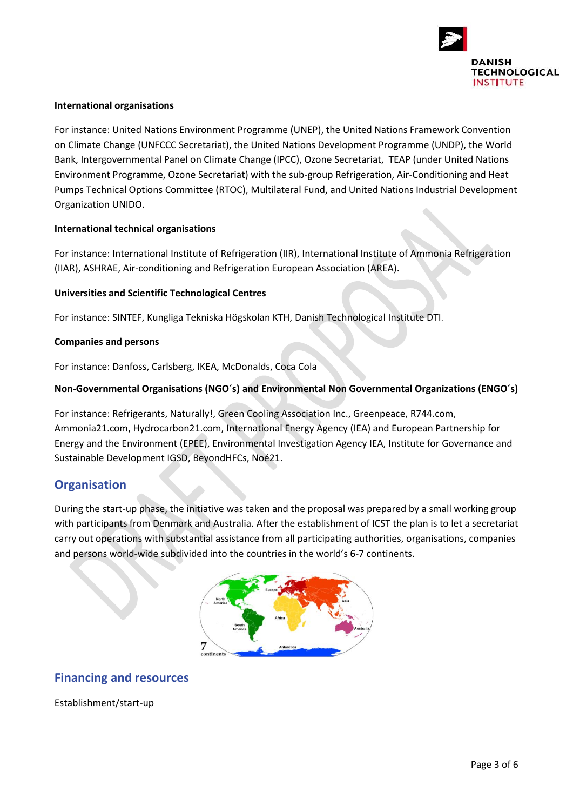

#### **International organisations**

For instance: United Nations Environment Programme (UNEP), the United Nations Framework Convention on Climate Change (UNFCCC Secretariat), the United Nations Development Programme (UNDP), the World Bank, Intergovernmental Panel on Climate Change (IPCC), Ozone Secretariat, TEAP (under United Nations Environment Programme, Ozone Secretariat) with the sub-group Refrigeration, Air-Conditioning and Heat Pumps Technical Options Committee (RTOC), Multilateral Fund, and United Nations Industrial Development Organization UNIDO.

#### **International technical organisations**

For instance: International Institute of Refrigeration (IIR), International Institute of Ammonia Refrigeration (IIAR), ASHRAE, Air-conditioning and Refrigeration European Association (AREA).

#### **Universities and Scientific Technological Centres**

For instance: SINTEF, Kungliga Tekniska Högskolan KTH, Danish Technological Institute DTI.

#### **Companies and persons**

For instance: Danfoss, Carlsberg, IKEA, McDonalds, Coca Cola

#### **Non-Governmental Organisations (NGO´s) and Environmental Non Governmental Organizations (ENGO´s)**

For instance: Refrigerants, Naturally!, Green Cooling Association Inc., Greenpeace, R744.com, Ammonia21.com, Hydrocarbon21.com, International Energy Agency (IEA) and European Partnership for Energy and the Environment (EPEE), Environmental Investigation Agency IEA, Institute for Governance and Sustainable Development IGSD, BeyondHFCs, Noé21.

# <span id="page-2-0"></span>**Organisation**

During the start-up phase, the initiative was taken and the proposal was prepared by a small working group with participants from Denmark and Australia. After the establishment of ICST the plan is to let a secretariat carry out operations with substantial assistance from all participating authorities, organisations, companies and persons world-wide subdivided into the countries in the world's 6-7 continents.



# <span id="page-2-1"></span>**Financing and resources**

Establishment/start-up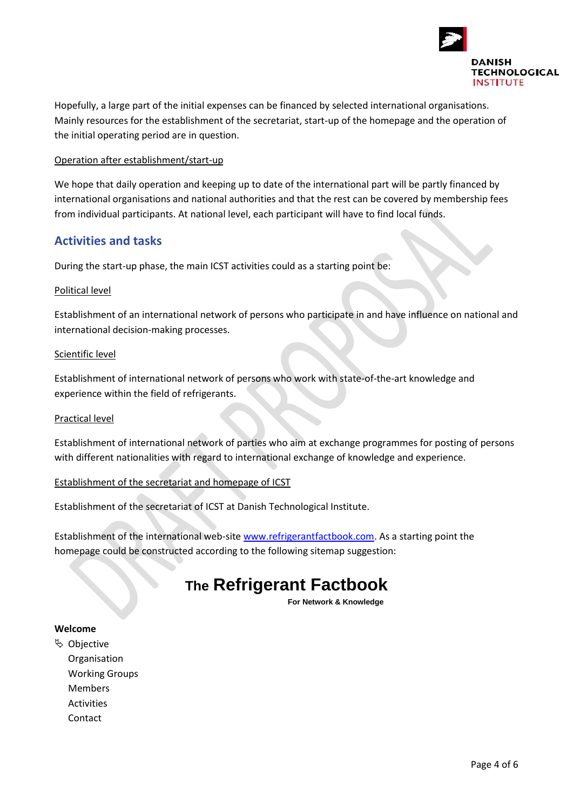

Hopefully, a large part of the initial expenses can be financed by selected international organisations. Mainly resources for the establishment of the secretariat, start-up of the homepage and the operation of the initial operating period are in question.

#### Operation after establishment/start-up

We hope that daily operation and keeping up to date of the international part will be partly financed by international organisations and national authorities and that the rest can be covered by membership fees from individual participants. At national level, each participant will have to find local funds.

# <span id="page-3-0"></span>**Activities and tasks**

During the start-up phase, the main ICST activities could as a starting point be:

#### Political level

Establishment of an international network of persons who participate in and have influence on national and international decision-making processes.

#### Scientific level

Establishment of international network of persons who work with state-of-the-art knowledge and experience within the field of refrigerants.

#### Practical level

Establishment of international network of parties who aim at exchange programmes for posting of persons with different nationalities with regard to international exchange of knowledge and experience.

## Establishment of the secretariat and homepage of ICST

Establishment of the secretariat of ICST at Danish Technological Institute.

Establishment of the international web-site [www.refrigerantfactbook.com.](http://www.refrigerantfactbook.com/) As a starting point the homepage could be constructed according to the following sitemap suggestion:

# **The Refrigerant Factbook**

 **For Network & Knowledge**

#### **Welcome**

 Objective Organisation Working Groups Members **Activities** Contact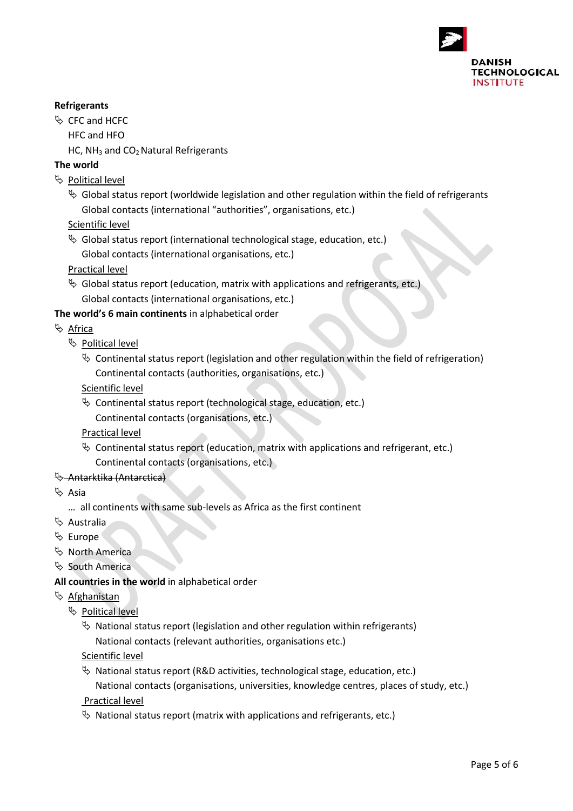

#### **Refrigerants**

 $\%$  CFC and HCFC

HFC and HFO

HC,  $NH<sub>3</sub>$  and CO<sub>2</sub> Natural Refrigerants

**The world**

- $\%$  Political level
	- $\%$  Global status report (worldwide legislation and other regulation within the field of refrigerants Global contacts (international "authorities", organisations, etc.)

## Scientific level

 $\%$  Global status report (international technological stage, education, etc.) Global contacts (international organisations, etc.)

Practical level

 $\uparrow$  Global status report (education, matrix with applications and refrigerants, etc.)

Global contacts (international organisations, etc.)

## **The world's 6 main continents** in alphabetical order

- $\%$  Africa
	- $\%$  Political level
		- $\%$  Continental status report (legislation and other regulation within the field of refrigeration) Continental contacts (authorities, organisations, etc.)
		- Scientific level
		- $\%$  Continental status report (technological stage, education, etc.)
		- Continental contacts (organisations, etc.)
		- Practical level
		- $\%$  Continental status report (education, matrix with applications and refrigerant, etc.) Continental contacts (organisations, etc.)

## Antarktika (Antarctica)

- $\&$  Asia
	- … all continents with same sub-levels as Africa as the first continent
- $\mathfrak{B}$  Australia
- $\mathfrak{G}$  Europe
- North America
- $\%$  South America
- **All countries in the world** in alphabetical order
- $\%$  Afghanistan
	- Political level
		- $\%$  National status report (legislation and other regulation within refrigerants) National contacts (relevant authorities, organisations etc.)

Scientific level

 $\%$  National status report (R&D activities, technological stage, education, etc.)

National contacts (organisations, universities, knowledge centres, places of study, etc.)

Practical level

 $\%$  National status report (matrix with applications and refrigerants, etc.)